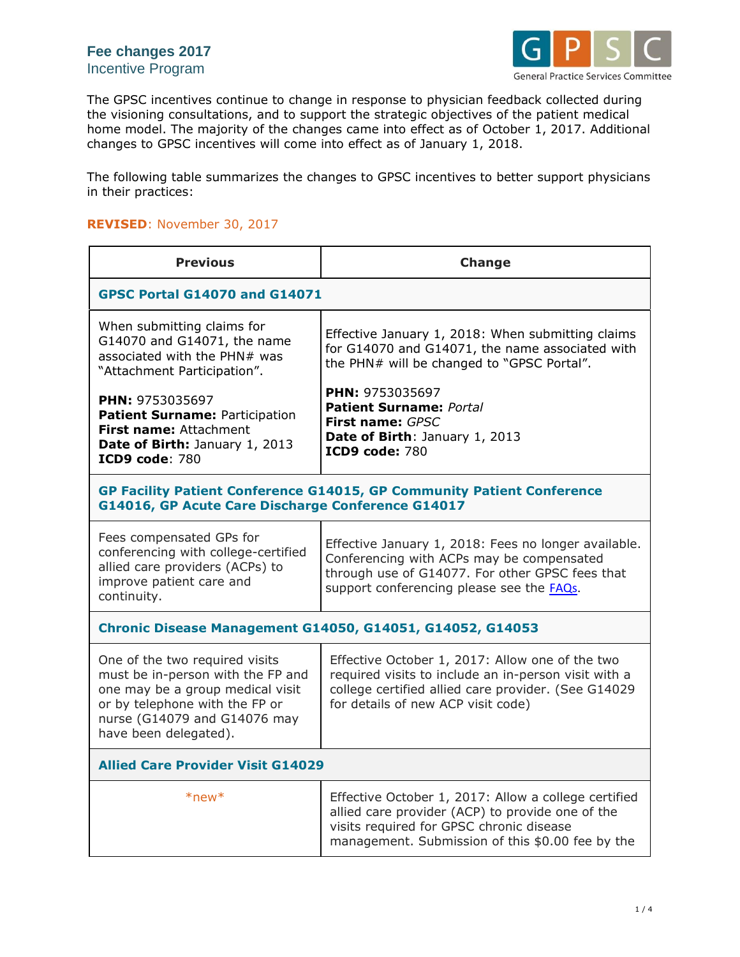

The GPSC incentives continue to change in response to physician feedback collected during the visioning consultations, and to support the strategic objectives of the patient medical home model. The majority of the changes came into effect as of October 1, 2017. Additional changes to GPSC incentives will come into effect as of January 1, 2018.

The following table summarizes the changes to GPSC incentives to better support physicians in their practices:

## **REVISED**: November 30, 2017

| <b>Previous</b>                                                                                                                                                                                    | <b>Change</b>                                                                                                                                                                                            |  |
|----------------------------------------------------------------------------------------------------------------------------------------------------------------------------------------------------|----------------------------------------------------------------------------------------------------------------------------------------------------------------------------------------------------------|--|
| <b>GPSC Portal G14070 and G14071</b>                                                                                                                                                               |                                                                                                                                                                                                          |  |
| When submitting claims for<br>G14070 and G14071, the name<br>associated with the PHN# was<br>"Attachment Participation".                                                                           | Effective January 1, 2018: When submitting claims<br>for G14070 and G14071, the name associated with<br>the PHN# will be changed to "GPSC Portal".                                                       |  |
| PHN: 9753035697<br>Patient Surname: Participation<br>First name: Attachment<br>Date of Birth: January 1, 2013<br><b>ICD9 code: 780</b>                                                             | PHN: 9753035697<br><b>Patient Surname: Portal</b><br>First name: GPSC<br>Date of Birth: January 1, 2013<br><b>ICD9 code: 780</b>                                                                         |  |
| <b>GP Facility Patient Conference G14015, GP Community Patient Conference</b><br>G14016, GP Acute Care Discharge Conference G14017                                                                 |                                                                                                                                                                                                          |  |
| Fees compensated GPs for<br>conferencing with college-certified<br>allied care providers (ACPs) to<br>improve patient care and<br>continuity.                                                      | Effective January 1, 2018: Fees no longer available.<br>Conferencing with ACPs may be compensated<br>through use of G14077. For other GPSC fees that<br>support conferencing please see the FAQs.        |  |
| <b>Chronic Disease Management G14050, G14051, G14052, G14053</b>                                                                                                                                   |                                                                                                                                                                                                          |  |
| One of the two required visits<br>must be in-person with the FP and<br>one may be a group medical visit<br>or by telephone with the FP or<br>nurse (G14079 and G14076 may<br>have been delegated). | Effective October 1, 2017: Allow one of the two<br>required visits to include an in-person visit with a<br>college certified allied care provider. (See G14029<br>for details of new ACP visit code)     |  |
| <b>Allied Care Provider Visit G14029</b>                                                                                                                                                           |                                                                                                                                                                                                          |  |
| $*$ new $*$                                                                                                                                                                                        | Effective October 1, 2017: Allow a college certified<br>allied care provider (ACP) to provide one of the<br>visits required for GPSC chronic disease<br>management. Submission of this \$0.00 fee by the |  |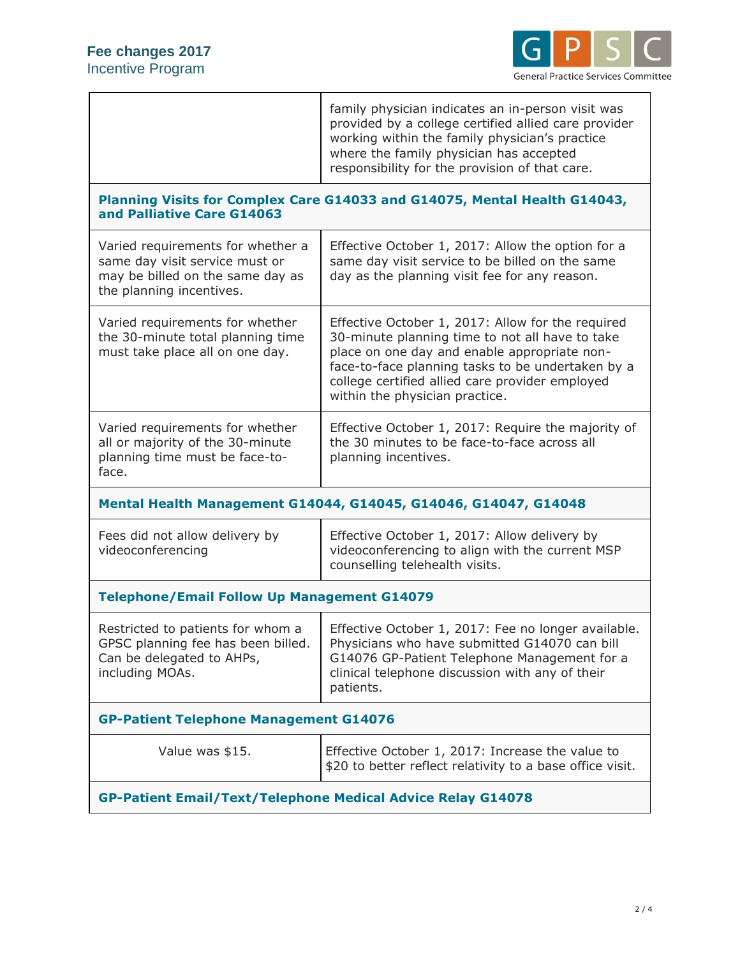

|                                                                                                                                     | family physician indicates an in-person visit was<br>provided by a college certified allied care provider<br>working within the family physician's practice<br>where the family physician has accepted<br>responsibility for the provision of that care.                                       |  |
|-------------------------------------------------------------------------------------------------------------------------------------|------------------------------------------------------------------------------------------------------------------------------------------------------------------------------------------------------------------------------------------------------------------------------------------------|--|
| Planning Visits for Complex Care G14033 and G14075, Mental Health G14043,<br>and Palliative Care G14063                             |                                                                                                                                                                                                                                                                                                |  |
| Varied requirements for whether a<br>same day visit service must or<br>may be billed on the same day as<br>the planning incentives. | Effective October 1, 2017: Allow the option for a<br>same day visit service to be billed on the same<br>day as the planning visit fee for any reason.                                                                                                                                          |  |
| Varied requirements for whether<br>the 30-minute total planning time<br>must take place all on one day.                             | Effective October 1, 2017: Allow for the required<br>30-minute planning time to not all have to take<br>place on one day and enable appropriate non-<br>face-to-face planning tasks to be undertaken by a<br>college certified allied care provider employed<br>within the physician practice. |  |
| Varied requirements for whether<br>all or majority of the 30-minute<br>planning time must be face-to-<br>face.                      | Effective October 1, 2017: Require the majority of<br>the 30 minutes to be face-to-face across all<br>planning incentives.                                                                                                                                                                     |  |
| Mental Health Management G14044, G14045, G14046, G14047, G14048                                                                     |                                                                                                                                                                                                                                                                                                |  |
| Fees did not allow delivery by<br>videoconferencing                                                                                 | Effective October 1, 2017: Allow delivery by<br>videoconferencing to align with the current MSP<br>counselling telehealth visits.                                                                                                                                                              |  |
| <b>Telephone/Email Follow Up Management G14079</b>                                                                                  |                                                                                                                                                                                                                                                                                                |  |
| Restricted to patients for whom a<br>GPSC planning fee has been billed.<br>Can be delegated to AHPs,<br>including MOAs.             | Effective October 1, 2017: Fee no longer available.<br>Physicians who have submitted G14070 can bill<br>G14076 GP-Patient Telephone Management for a<br>clinical telephone discussion with any of their<br>patients.                                                                           |  |
| <b>GP-Patient Telephone Management G14076</b>                                                                                       |                                                                                                                                                                                                                                                                                                |  |
| Value was \$15.                                                                                                                     | Effective October 1, 2017: Increase the value to<br>\$20 to better reflect relativity to a base office visit.                                                                                                                                                                                  |  |
| <b>GP-Patient Email/Text/Telephone Medical Advice Relay G14078</b>                                                                  |                                                                                                                                                                                                                                                                                                |  |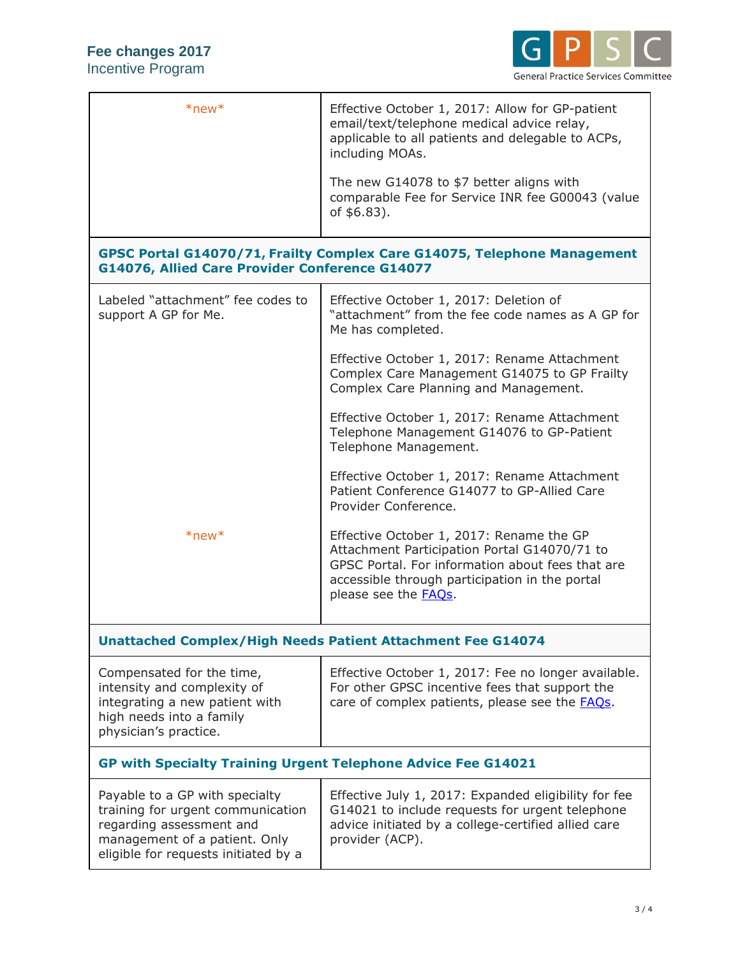

| $*$ new $*$                                                                                                                                                              | Effective October 1, 2017: Allow for GP-patient<br>email/text/telephone medical advice relay,<br>applicable to all patients and delegable to ACPs,<br>including MOAs.<br>The new G14078 to \$7 better aligns with<br>comparable Fee for Service INR fee G00043 (value |  |
|--------------------------------------------------------------------------------------------------------------------------------------------------------------------------|-----------------------------------------------------------------------------------------------------------------------------------------------------------------------------------------------------------------------------------------------------------------------|--|
|                                                                                                                                                                          | of \$6.83).                                                                                                                                                                                                                                                           |  |
| GPSC Portal G14070/71, Frailty Complex Care G14075, Telephone Management<br>G14076, Allied Care Provider Conference G14077                                               |                                                                                                                                                                                                                                                                       |  |
| Labeled "attachment" fee codes to<br>support A GP for Me.                                                                                                                | Effective October 1, 2017: Deletion of<br>"attachment" from the fee code names as A GP for<br>Me has completed.                                                                                                                                                       |  |
|                                                                                                                                                                          | Effective October 1, 2017: Rename Attachment<br>Complex Care Management G14075 to GP Frailty<br>Complex Care Planning and Management.                                                                                                                                 |  |
|                                                                                                                                                                          | Effective October 1, 2017: Rename Attachment<br>Telephone Management G14076 to GP-Patient<br>Telephone Management.                                                                                                                                                    |  |
|                                                                                                                                                                          | Effective October 1, 2017: Rename Attachment<br>Patient Conference G14077 to GP-Allied Care<br>Provider Conference.                                                                                                                                                   |  |
| $*$ new $*$                                                                                                                                                              | Effective October 1, 2017: Rename the GP<br>Attachment Participation Portal G14070/71 to<br>GPSC Portal. For information about fees that are<br>accessible through participation in the portal<br>please see the <b>FAQs</b> .                                        |  |
| <b>Unattached Complex/High Needs Patient Attachment Fee G14074</b>                                                                                                       |                                                                                                                                                                                                                                                                       |  |
| Compensated for the time,<br>intensity and complexity of<br>integrating a new patient with<br>high needs into a family<br>physician's practice.                          | Effective October 1, 2017: Fee no longer available.<br>For other GPSC incentive fees that support the<br>care of complex patients, please see the <b>FAQs</b> .                                                                                                       |  |
| <b>GP with Specialty Training Urgent Telephone Advice Fee G14021</b>                                                                                                     |                                                                                                                                                                                                                                                                       |  |
| Payable to a GP with specialty<br>training for urgent communication<br>regarding assessment and<br>management of a patient. Only<br>eligible for requests initiated by a | Effective July 1, 2017: Expanded eligibility for fee<br>G14021 to include requests for urgent telephone<br>advice initiated by a college-certified allied care<br>provider (ACP).                                                                                     |  |